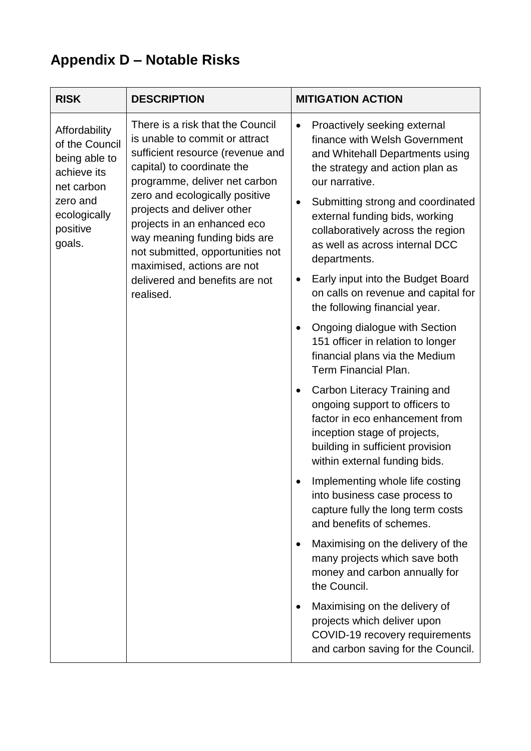## **Appendix D – Notable Risks**

| <b>RISK</b>                                                                                                                     | <b>DESCRIPTION</b>                                                                                                                                                                                                                                                                                                                                                                                                    | <b>MITIGATION ACTION</b>                                                                                                                                                                                                                                                                                                                                                                                                                                                                                                                                                                                                                                                                                                                                                                                                         |
|---------------------------------------------------------------------------------------------------------------------------------|-----------------------------------------------------------------------------------------------------------------------------------------------------------------------------------------------------------------------------------------------------------------------------------------------------------------------------------------------------------------------------------------------------------------------|----------------------------------------------------------------------------------------------------------------------------------------------------------------------------------------------------------------------------------------------------------------------------------------------------------------------------------------------------------------------------------------------------------------------------------------------------------------------------------------------------------------------------------------------------------------------------------------------------------------------------------------------------------------------------------------------------------------------------------------------------------------------------------------------------------------------------------|
| Affordability<br>of the Council<br>being able to<br>achieve its<br>net carbon<br>zero and<br>ecologically<br>positive<br>goals. | There is a risk that the Council<br>is unable to commit or attract<br>sufficient resource (revenue and<br>capital) to coordinate the<br>programme, deliver net carbon<br>zero and ecologically positive<br>projects and deliver other<br>projects in an enhanced eco<br>way meaning funding bids are<br>not submitted, opportunities not<br>maximised, actions are not<br>delivered and benefits are not<br>realised. | Proactively seeking external<br>$\bullet$<br>finance with Welsh Government<br>and Whitehall Departments using<br>the strategy and action plan as<br>our narrative.<br>Submitting strong and coordinated<br>external funding bids, working<br>collaboratively across the region<br>as well as across internal DCC<br>departments.<br>Early input into the Budget Board<br>on calls on revenue and capital for<br>the following financial year.<br>Ongoing dialogue with Section<br>151 officer in relation to longer<br>financial plans via the Medium<br><b>Term Financial Plan.</b><br>Carbon Literacy Training and<br>ongoing support to officers to<br>factor in eco enhancement from<br>inception stage of projects,<br>building in sufficient provision<br>within external funding bids.<br>Implementing whole life costing |
|                                                                                                                                 |                                                                                                                                                                                                                                                                                                                                                                                                                       | into business case process to<br>capture fully the long term costs<br>and benefits of schemes.                                                                                                                                                                                                                                                                                                                                                                                                                                                                                                                                                                                                                                                                                                                                   |
|                                                                                                                                 |                                                                                                                                                                                                                                                                                                                                                                                                                       | Maximising on the delivery of the<br>many projects which save both<br>money and carbon annually for<br>the Council.                                                                                                                                                                                                                                                                                                                                                                                                                                                                                                                                                                                                                                                                                                              |
|                                                                                                                                 |                                                                                                                                                                                                                                                                                                                                                                                                                       | Maximising on the delivery of<br>projects which deliver upon<br>COVID-19 recovery requirements<br>and carbon saving for the Council.                                                                                                                                                                                                                                                                                                                                                                                                                                                                                                                                                                                                                                                                                             |